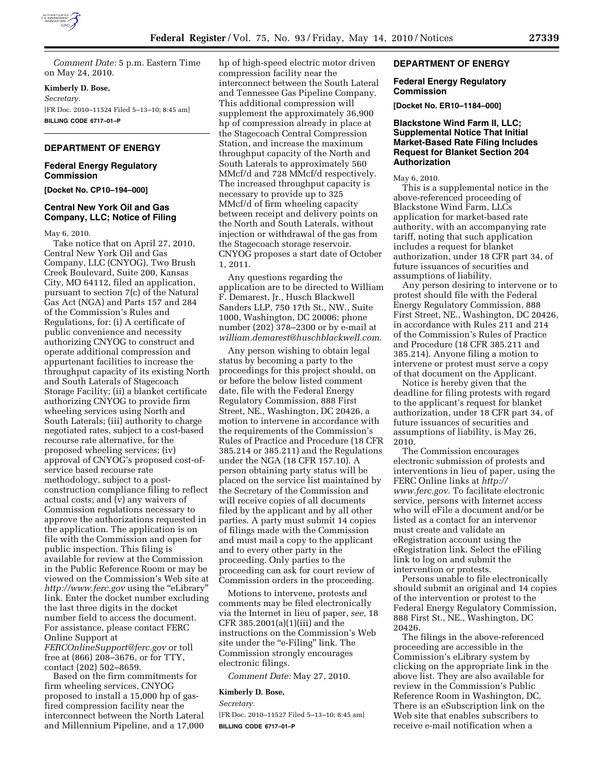

*Comment Date:* 5 p.m. Eastern Time on May 24, 2010.

**Kimberly D. Bose,** 

*Secretary.* 

[FR Doc. 2010–11524 Filed 5–13–10; 8:45 am] **BILLING CODE 6717–01–P** 

# **DEPARTMENT OF ENERGY**

## **Federal Energy Regulatory Commission**

**[Docket No. CP10–194–000]** 

# **Central New York Oil and Gas Company, LLC; Notice of Filing**

May 6, 2010.

Take notice that on April 27, 2010, Central New York Oil and Gas Company, LLC (CNYOG), Two Brush Creek Boulevard, Suite 200, Kansas City, MO 64112, filed an application, pursuant to section 7(c) of the Natural Gas Act (NGA) and Parts 157 and 284 of the Commission's Rules and Regulations, for: (i) A certificate of public convenience and necessity authorizing CNYOG to construct and operate additional compression and appurtenant facilities to increase the throughput capacity of its existing North and South Laterals of Stagecoach Storage Facility; (ii) a blanket certificate authorizing CNYOG to provide firm wheeling services using North and South Laterals; (iii) authority to charge negotiated rates, subject to a cost-based recourse rate alternative, for the proposed wheeling services; (iv) approval of CNYOG's proposed cost-ofservice based recourse rate methodology, subject to a postconstruction compliance filing to reflect actual costs; and (v) any waivers of Commission regulations necessary to approve the authorizations requested in the application. The application is on file with the Commission and open for public inspection. This filing is available for review at the Commission in the Public Reference Room or may be viewed on the Commission's Web site at *http://www.ferc.gov* using the ''eLibrary'' link. Enter the docket number excluding the last three digits in the docket number field to access the document. For assistance, please contact FERC Online Support at

*FERCOnlineSupport@ferc.gov* or toll free at (866) 208–3676, or for TTY, contact (202) 502–8659.

Based on the firm commitments for firm wheeling services, CNYOG proposed to install a 15,000 hp of gasfired compression facility near the interconnect between the North Lateral and Millennium Pipeline, and a 17,000 hp of high-speed electric motor driven compression facility near the interconnect between the South Lateral and Tennessee Gas Pipeline Company. This additional compression will supplement the approximately 36,900 hp of compression already in place at the Stagecoach Central Compression Station, and increase the maximum throughput capacity of the North and South Laterals to approximately 560 MMcf/d and 728 MMcf/d respectively. The increased throughput capacity is necessary to provide up to 325 MMcf/d of firm wheeling capacity between receipt and delivery points on the North and South Laterals, without injection or withdrawal of the gas from the Stagecoach storage reservoir. CNYOG proposes a start date of October 1, 2011.

Any questions regarding the application are to be directed to William F. Demarest, Jr., Husch Blackwell Sanders LLP, 750 17th St., NW., Suite 1000, Washington, DC 20006; phone number (202) 378–2300 or by e-mail at *william.demarest@huschblackwell.com.* 

Any person wishing to obtain legal status by becoming a party to the proceedings for this project should, on or before the below listed comment date, file with the Federal Energy Regulatory Commission, 888 First Street, NE., Washington, DC 20426, a motion to intervene in accordance with the requirements of the Commission's Rules of Practice and Procedure (18 CFR 385.214 or 385.211) and the Regulations under the NGA (18 CFR 157.10). A person obtaining party status will be placed on the service list maintained by the Secretary of the Commission and will receive copies of all documents filed by the applicant and by all other parties. A party must submit 14 copies of filings made with the Commission and must mail a copy to the applicant and to every other party in the proceeding. Only parties to the proceeding can ask for court review of Commission orders in the proceeding.

Motions to intervene, protests and comments may be filed electronically via the Internet in lieu of paper, *see,* 18 CFR 385.2001(a)(1)(iii) and the instructions on the Commission's Web site under the "e-Filing" link. The Commission strongly encourages electronic filings.

*Comment Date:* May 27, 2010.

#### **Kimberly D. Bose,**

*Secretary.* 

[FR Doc. 2010–11527 Filed 5–13–10; 8:45 am] **BILLING CODE 6717–01–P** 

# **DEPARTMENT OF ENERGY**

# **Federal Energy Regulatory Commission**

**[Docket No. ER10–1184–000]** 

# **Blackstone Wind Farm II, LLC; Supplemental Notice That Initial Market-Based Rate Filing Includes Request for Blanket Section 204 Authorization**

### May 6, 2010.

This is a supplemental notice in the above-referenced proceeding of Blackstone Wind Farm, LLCs application for market-based rate authority, with an accompanying rate tariff, noting that such application includes a request for blanket authorization, under 18 CFR part 34, of future issuances of securities and assumptions of liability.

Any person desiring to intervene or to protest should file with the Federal Energy Regulatory Commission, 888 First Street, NE., Washington, DC 20426, in accordance with Rules 211 and 214 of the Commission's Rules of Practice and Procedure (18 CFR 385.211 and 385.214). Anyone filing a motion to intervene or protest must serve a copy of that document on the Applicant.

Notice is hereby given that the deadline for filing protests with regard to the applicant's request for blanket authorization, under 18 CFR part 34, of future issuances of securities and assumptions of liability, is May 26, 2010.

The Commission encourages electronic submission of protests and interventions in lieu of paper, using the FERC Online links at *http:// www.ferc.gov.* To facilitate electronic service, persons with Internet access who will eFile a document and/or be listed as a contact for an intervenor must create and validate an eRegistration account using the eRegistration link. Select the eFiling link to log on and submit the intervention or protests.

Persons unable to file electronically should submit an original and 14 copies of the intervention or protest to the Federal Energy Regulatory Commission, 888 First St., NE., Washington, DC 20426.

The filings in the above-referenced proceeding are accessible in the Commission's eLibrary system by clicking on the appropriate link in the above list. They are also available for review in the Commission's Public Reference Room in Washington, DC. There is an eSubscription link on the Web site that enables subscribers to receive e-mail notification when a